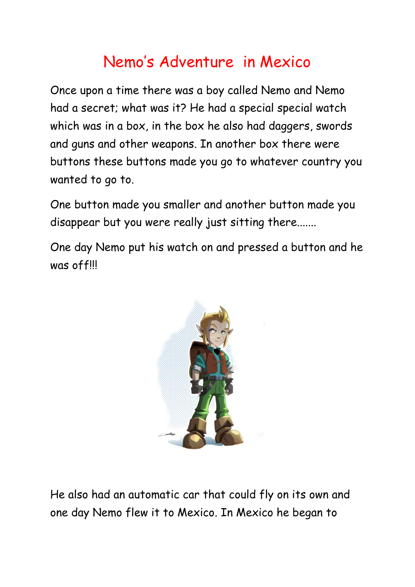## Nemo's Adventure in Mexico

Once upon a time there was a boy called Nemo and Nemo had a secret; what was it? He had a special special watch which was in a box, in the box he also had daggers, swords and guns and other weapons. In another box there were buttons these buttons made you go to whatever country you wanted to go to.

One button made you smaller and another button made you disappear but you were really just sitting there.......

One day Nemo put his watch on and pressed a button and he was off!!!



He also had an automatic car that could fly on its own and one day Nemo flew it to Mexico. In Mexico he began to